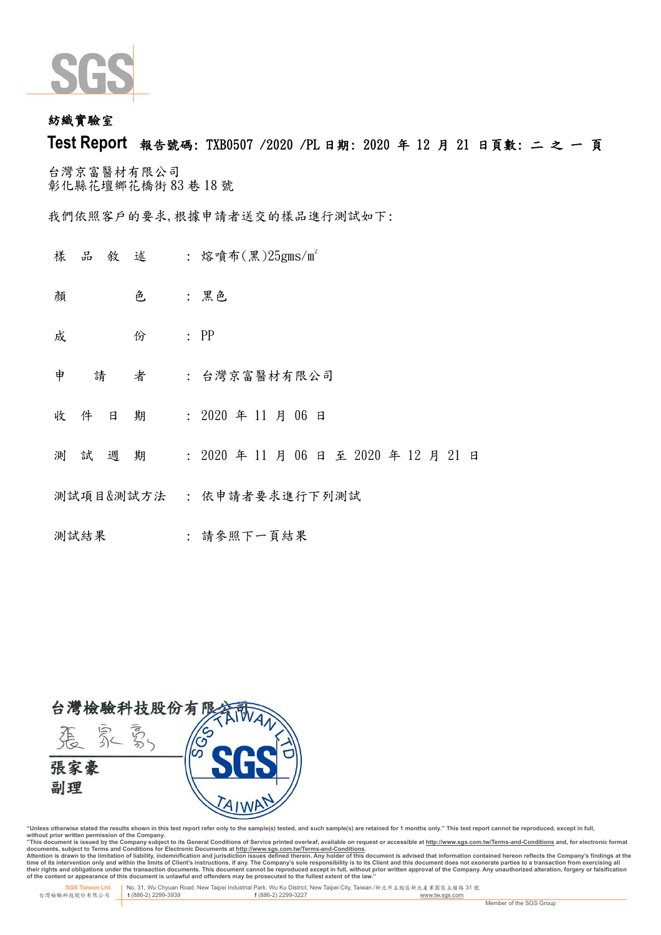

## 紡織實驗 室

# **Test Report** 報告號碼: TXB0507 /2020 /PL 日期: 2020 年 12 月 21 日頁 數: 二 之 一 頁

台灣京富醫材有限公司 彰化縣花壇鄉 花橋街 83 巷 18 號

我們依照客戶的要求,根據申請者送交的樣品進行測試如下:

- 樣 品 敘 述 : 熔噴布(黑)25gms/m2
- 顏 色 :黑色
- **成 份 : PP**
- 申 請 者 : 台灣京富醫材有限公司
- 收件 日 期 : 2020 年 11 月 06 日
- 測 試 週 期 : 2020 年 11 月 06 日 至 2020 年 12 月 21 日
- 測試項目&測試方法 : 依申請者要求進行下列測試
- 測試結果 : 請參照下一頁結果



"Unless otherwise stated the results shown in this test report refer only to the sample(s) tested, and such sample(s) are retained for 1 months only." This test report cannot be reproduced, except in full,<br>without prior wr

documents, subject to Terms and Conditions for Electronic Documents at <u>http://www.sqs.com.tw/Terms-and-Conditions</u><br>Attention is drawn to the limitation of liability, indemnification and jurisdiction issues defined threin.

 **SGS Taiwan Ltd.** No. 31, Wu Chyuan Road, New Taipei Industrial Park, Wu Ku District, New Taipei City, Taiwan /新北市五股區新北產業園區五權路 31 號 台灣檢驗科技股份有限公司 **t** (886-2) 2299-3939 **f** (886-2) 2299-3227 www.tw.sgs.com